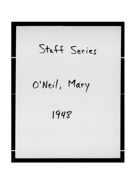## Staff Series O'Neil, Mary 1948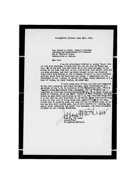Springfield Illinois June I3th. 1948.

non. Daniel J. Tobin General President International Wretherhood Of Teamsters 222 E. Michigan Street Indianapolis L. Indiana

Dear Dan:

I am not gloating, or wanting to injure 'ou, or even to hurt your feelings, I think that you are not only an Honest man but, One of the most able men there is in the labor movement in the World. At the Same time Dan, as you said in your last letter, even you ] can make mistakes, and that one which brought in the low Standard Cheap labor from Sicily, to the Coalmines of the U.S. was a terrible mistake, which from the Enclosure has become a "ommonplace act now. everywhere in our Country, at nearly all times. Being committed as a ma tter of Course, in every Country, By every ody.

I still think that if that act that was committed by the Coal operators, and their Stooges, under authorisation of A president of the U.S. In violation of the finnigration Laws, With f maunity Peing Suarranteed from Punishment, for any Criminal Act committed in pursuance thereof, Including Murder. 26 at least being murdered in <sup>1</sup>llinois, 42 in one Small "istrict in West Virginia, and many others in many other territories in the ". S. And "housands being beat n up all over the Coal districts in our Nation , that that would bring a stop to that sort of thing being done immeetiately and for ever. I wish that it could be done, not only for the Coalmhers sake, he is the one that will benifit most, but it will benifit all laboring men, and at least indirectly the whold "sbor movement, and every Decendent of Labor in our wountsy. Sincerely,

ohn H. Walker

Room #4. The Annex Laland Motel Suringfield Illnois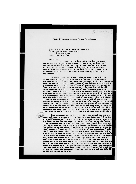#835. Millw^ukee Street. Denver 6. Colorado.

Sp. m. 1948? Aug. 2

Hon. Daniel J. Tobin. General President Teamsters International Union 222 E Michigan Street Indianapolis 4. Ind.

Dear Dan:

As a result of my &ife dying the 17th of March, and my having to seek other places of residence, my  $\mathbb{R}$  il did not get to me $\mathcal{A}$ o I did not get the two last issues of your -Official Magazine until remently. Your doubts of the truthful ness of Drew Pearsons Story, re the Rail injunction, reminds me of another case of the same kind, a long time ago. "ltho you may remember it.

It concerned A building Tradea Agreement, made in one of the preat Cities with which you are familiar, \*he Agreement we made during a "epression, when the "oncessions of the "ontractors were few and very infinetesminl, Some of the Delegates to the joint conferende were afraid of the effects of making auch an agreement, That it might react on them unfavorably, So they favored it all being referred to Arbritration, one of the Delegates knew that an intelligett Arbritrator, who was also honest, would not be able th give them anything, and that the agreement which they fould get from the Contractors, would be better then anything which they could get from the Arbritr:tor,so for the good of the membership, he insisted on making the agreement with the "ontractors, all of the others refused to agree with him, and insisted on referring it to the arbritrator, he finally, rather than hold up the making of the agreement, agreed to sign the contract  $\triangle$  but he warned them that he never bro ke an agreement which he was a **Tarty** to in his life, and that if **the**  agreement was made, and the sward of the arbritrator, went against them, that he would live up to it, and demand that they would alao.

That agreement was made, every delegate signed it. but when  $\bullet$ ward was made, everyone of them, but this one delegate, ( Whom You know well)regused to live  $\mu$ m to it, Mike insisted on the arre-ment being ing lived up too.The men Cape out on Strike,after about six "eeke, those delegatee who refused to honor their own <sup>3</sup>igned Contract, got Old San to come out there to make a Speech, to Bolster up the Strike "am called me on the Phone from Chicago, to please come un there to<br>him agreed. I went up there, he told me of the situation. " told him<sub>e</sub> agreed , I went up there, he told me of the situation, him to get the facts, that then we eculd more intelligently decide what to do, <sup>n</sup>e sent an Orgenizer, at my **ouggeation** over to the Sec'y of the "uilding \*rades union, to get the original cory of the Agree ent, which was signed by all of them, the organizer came back and said that there was no such agreement, I called the secretary's office and told him what the Organiser hed reported to pres. Compare He told me that that wee a lie, thet he had given him the agreement which was signed by all of the Delegates and officere, and requested that Sem Talk to him, then Emmet admitted th t Frenchy Aadre and twe others bad taken the Agreement from htm, and thre^t\*-ned his life if he did not revort as he did.